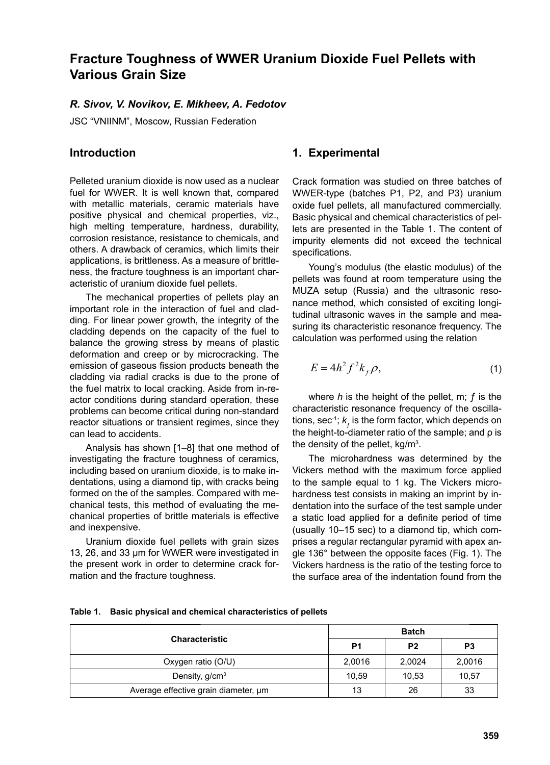# **Fracture Toughness of WWER Uranium Dioxide Fuel Pellets with Various Grain Size**

#### *R. Sivov, V. Novikov, E. Mikheev, A. Fedotov*

JSC "VNIINM", Moscow, Russian Federation

## **Introduction**

Pelleted uranium dioxide is now used as a nuclear fuel for WWER. It is well known that, compared with metallic materials, ceramic materials have positive physical and chemical properties, viz., high melting temperature, hardness, durability, corrosion resistance, resistance to chemicals, and others. A drawback of ceramics, which limits their applications, is brittleness. As a measure of brittleness, the fracture toughness is an important characteristic of uranium dioxide fuel pellets.

The mechanical properties of pellets play an important role in the interaction of fuel and cladding. For linear power growth, the integrity of the cladding depends on the capacity of the fuel to balance the growing stress by means of plastic deformation and creep or by microcracking. The emission of gaseous fission products beneath the cladding via radial cracks is due to the prone of the fuel matrix to local cracking. Aside from in-reactor conditions during standard operation, these problems can become critical during non-standard reactor situations or transient regimes, since they can lead to accidents.

Analysis has shown [1–8] that one method of investigating the fracture toughness of ceramics, including based on uranium dioxide, is to make indentations, using a diamond tip, with cracks being formed on the of the samples. Compared with mechanical tests, this method of evaluating the mechanical properties of brittle materials is effective and inexpensive.

Uranium dioxide fuel pellets with grain sizes 13, 26, and 33 μm for WWER were investigated in the present work in order to determine crack formation and the fracture toughness.

#### **1. Experimental**

Crack formation was studied on three batches of WWER-type (batches P1, P2, and P3) uranium oxide fuel pellets, all manufactured commercially. Basic physical and chemical characteristics of pellets are presented in the Table 1. The content of impurity elements did not exceed the technical specifications.

Young's modulus (the elastic modulus) of the pellets was found at room temperature using the MUZA setup (Russia) and the ultrasonic resonance method, which consisted of exciting longitudinal ultrasonic waves in the sample and measuring its characteristic resonance frequency. The calculation was performed using the relation

$$
E = 4h^2 f^2 k_f \rho, \qquad (1)
$$

where *h* is the height of the pellet, m; ƒ is the characteristic resonance frequency of the oscillations, sec<sup>-1</sup>;  $k_f$  is the form factor, which depends on the height-to-diameter ratio of the sample; and ρ is the density of the pellet, kg/m<sup>3</sup>.

The microhardness was determined by the Vickers method with the maximum force applied to the sample equal to 1 kg. The Vickers microhardness test consists in making an imprint by indentation into the surface of the test sample under a static load applied for a definite period of time (usually 10–15 sec) to a diamond tip, which comprises a regular rectangular pyramid with apex angle 136° between the opposite faces (Fig. 1). The Vickers hardness is the ratio of the testing force to the surface area of the indentation found from the

|  |  |  |  | Table 1. Basic physical and chemical characteristics of pellets |  |
|--|--|--|--|-----------------------------------------------------------------|--|
|--|--|--|--|-----------------------------------------------------------------|--|

|                                      | <b>Batch</b> |                |                |
|--------------------------------------|--------------|----------------|----------------|
| <b>Characteristic</b>                | P1           | P <sub>2</sub> | P <sub>3</sub> |
| Oxygen ratio (O/U)                   | 2,0016       | 2,0024         | 2,0016         |
| Density, g/cm <sup>3</sup>           | 10,59        | 10,53          | 10,57          |
| Average effective grain diameter, um | 13           | 26             | 33             |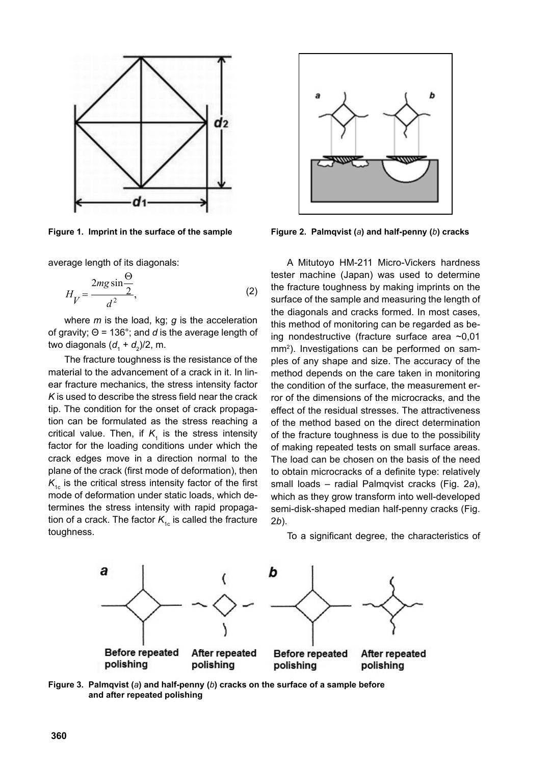

average length of its diagonals:

$$
H_V = \frac{2mg\sin\frac{\Theta}{2}}{d^2},\tag{2}
$$

where *m* is the load, kg; *g* is the acceleration of gravity; Θ = 136°; and *d* is the average length of two diagonals (*d*<sub>1</sub> + *d*<sub>2</sub>)/2, m.

The fracture toughness is the resistance of the material to the advancement of a crack in it. In linear fracture mechanics, the stress intensity factor *K* is used to describe the stress field near the crack tip. The condition for the onset of crack propagation can be formulated as the stress reaching a critical value. Then, if  $K<sub>1</sub>$  is the stress intensity factor for the loading conditions under which the crack edges move in a direction normal to the plane of the crack (first mode of deformation), then  $K_{1c}$  is the critical stress intensity factor of the first mode of deformation under static loads, which determines the stress intensity with rapid propagation of a crack. The factor  $K_{1c}$  is called the fracture toughness.



**Figure 1. Imprint in the surface of the sample Figure 2. Palmqvist (***a***) and half-penny (***b***) cracks**

A Mitutoyo HM-211 Micro-Vickers hardness tester machine (Japan) was used to determine the fracture toughness by making imprints on the surface of the sample and measuring the length of the diagonals and cracks formed. In most cases, this method of monitoring can be regarded as being nondestructive (fracture surface area ~0,01 mm<sup>2</sup>). Investigations can be performed on samples of any shape and size. The accuracy of the method depends on the care taken in monitoring the condition of the surface, the measurement error of the dimensions of the microcracks, and the effect of the residual stresses. The attractiveness of the method based on the direct determination of the fracture toughness is due to the possibility of making repeated tests on small surface areas. The load can be chosen on the basis of the need to obtain microcracks of a definite type: relatively small loads – radial Palmqvist cracks (Fig. 2*a*), which as they grow transform into well-developed semi-disk-shaped median half-penny cracks (Fig. 2*b*).

To a significant degree, the characteristics of



**Figure 3. Palmqvist (***a***) and half-penny (***b***) cracks on the surface of a sample before and after repeated polishing**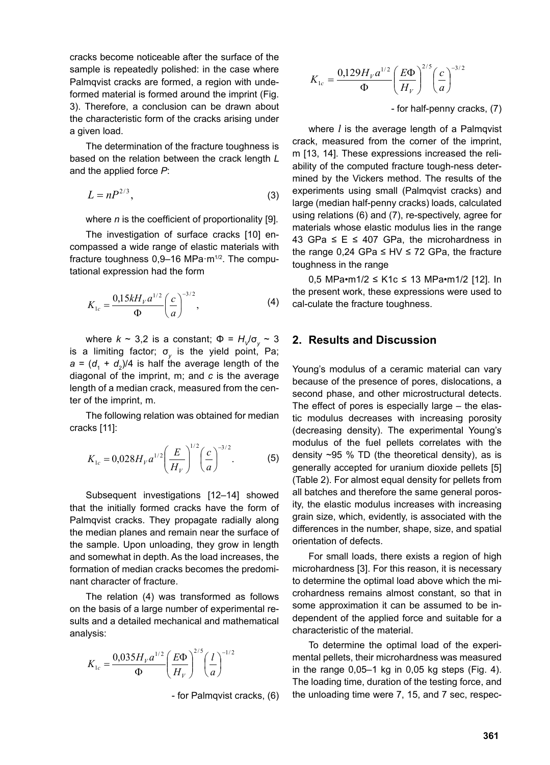cracks become noticeable after the surface of the sample is repeatedly polished: in the case where Palmqvist cracks are formed, a region with undeformed material is formed around the imprint (Fig. 3). Therefore, a conclusion can be drawn about the characteristic form of the cracks arising under a given load.

The determination of the fracture toughness is based on the relation between the crack length *L*  and the applied force *P*:

$$
L = nP^{2/3},\tag{3}
$$

where *n* is the coefficient of proportionality [9].

The investigation of surface cracks [10] encompassed a wide range of elastic materials with fracture toughness 0,9-16 MPa·m<sup>1/2</sup>. The computational expression had the form

$$
K_{1c} = \frac{0.15kH_{\nu}a^{1/2}}{\Phi} \bigg(\frac{c}{a}\bigg)^{-3/2},
$$
 (4)

where  $k \sim 3.2$  is a constant;  $\Phi = H/\sigma_{v} \sim 3$ is a limiting factor; σ<sub>*v*</sub> is the yield point, Pa;  $a = (d_1 + d_2)/4$  is half the average length of the diagonal of the imprint, m; and *c* is the average length of a median crack, measured from the center of the imprint, m.

The following relation was obtained for median cracks [11]:

$$
K_{1c} = 0.028 H_V a^{1/2} \left(\frac{E}{H_V}\right)^{1/2} \left(\frac{c}{a}\right)^{-3/2}.
$$
 (5)

Subsequent investigations [12–14] showed that the initially formed cracks have the form of Palmqvist cracks. They propagate radially along the median planes and remain near the surface of the sample. Upon unloading, they grow in length and somewhat in depth. As the load increases, the formation of median cracks becomes the predominant character of fracture.

The relation (4) was transformed as follows on the basis of a large number of experimental results and a detailed mechanical and mathematical analysis:

$$
K_{1c} = \frac{0.035 H_{\nu} a^{1/2}}{\Phi} \left(\frac{E\Phi}{H_{\nu}}\right)^{2/5} \left(\frac{l}{a}\right)^{-1/2}
$$

- for Palmqvist cracks, (6)

$$
K_{1c} = \frac{0,129H_{V}a^{1/2}}{\Phi} \left(\frac{E\Phi}{H_{V}}\right)^{2/5} \left(\frac{c}{a}\right)^{-3/2}
$$

- for half-penny cracks, (7)

where *l* is the average length of a Palmqvist crack, measured from the corner of the imprint, m [13, 14]. These expressions increased the reliability of the computed fracture tough-ness determined by the Vickers method. The results of the experiments using small (Palmqvist cracks) and large (median half-penny cracks) loads, calculated using relations (6) and (7), re-spectively, agree for materials whose elastic modulus lies in the range 43 GPa  $\leq$  E  $\leq$  407 GPa, the microhardness in the range 0,24 GPa ≤ HV ≤ 72 GPa, the fracture toughness in the range

0,5 MPa•m1/2 ≤ K1c ≤ 13 MPa•m1/2 [12]. In the present work, these expressions were used to cal-culate the fracture toughness.

### **2. Results and Discussion**

Young's modulus of a ceramic material can vary because of the presence of pores, dislocations, a second phase, and other microstructural detects. The effect of pores is especially large – the elastic modulus decreases with increasing porosity (decreasing density). The experimental Young's modulus of the fuel pellets correlates with the density  $\sim$ 95 % TD (the theoretical density), as is generally accepted for uranium dioxide pellets [5] (Table 2). For almost equal density for pellets from all batches and therefore the same general porosity, the elastic modulus increases with increasing grain size, which, evidently, is associated with the differences in the number, shape, size, and spatial orientation of defects.

For small loads, there exists a region of high microhardness [3]. For this reason, it is necessary to determine the optimal load above which the microhardness remains almost constant, so that in some approximation it can be assumed to be independent of the applied force and suitable for a characteristic of the material.

To determine the optimal load of the experimental pellets, their microhardness was measured in the range  $0,05-1$  kg in  $0,05$  kg steps (Fig. 4). The loading time, duration of the testing force, and the unloading time were 7, 15, and 7 sec, respec-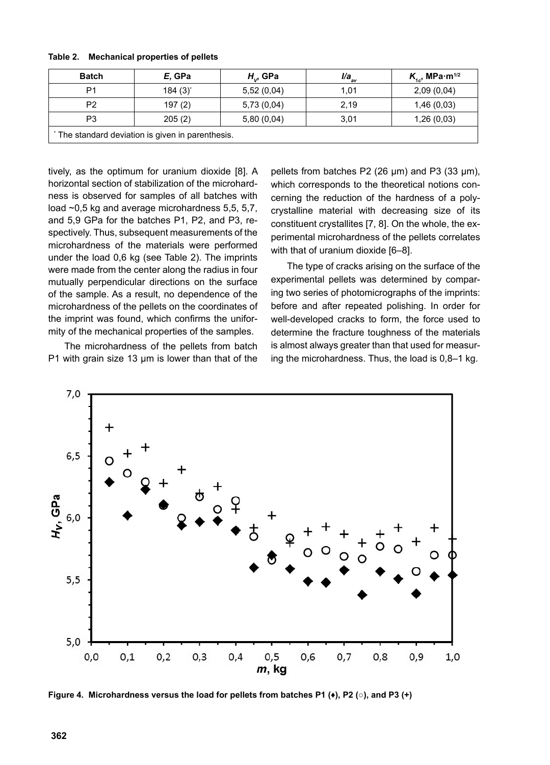| <b>Batch</b>                                    | E, GPa       | $H_{\nu}$ , GPa | $l/a_{_{av}}$ | $K_{1c}$ , MPa $\cdot$ m <sup>1/2</sup> |  |
|-------------------------------------------------|--------------|-----------------|---------------|-----------------------------------------|--|
| P1                                              | $184(3)^{*}$ | 5,52(0,04)      | 1,01          | 2,09(0,04)                              |  |
| P <sub>2</sub>                                  | 197(2)       | 5,73(0,04)      | 2,19          | 1,46(0,03)                              |  |
| P <sub>3</sub>                                  | 205(2)       | 5,80(0,04)      | 3,01          | 1,26(0,03)                              |  |
| The standard deviation is given in parenthesis. |              |                 |               |                                         |  |

**Table 2. Mechanical properties of pellets**

tively, as the optimum for uranium dioxide [8]. A horizontal section of stabilization of the microhardness is observed for samples of all batches with load ~0,5 kg and average microhardness 5,5, 5,7, and 5,9 GPa for the batches P1, P2, and P3, respectively. Thus, subsequent measurements of the microhardness of the materials were performed under the load 0,6 kg (see Table 2). The imprints were made from the center along the radius in four mutually perpendicular directions on the surface of the sample. As a result, no dependence of the microhardness of the pellets on the coordinates of the imprint was found, which confirms the uniformity of the mechanical properties of the samples.

The microhardness of the pellets from batch P1 with grain size 13 μm is lower than that of the pellets from batches P2 (26 μm) and P3 (33 μm), which corresponds to the theoretical notions concerning the reduction of the hardness of a polycrystalline material with decreasing size of its constituent crystallites [7, 8]. On the whole, the experimental microhardness of the pellets correlates with that of uranium dioxide [6–8].

The type of cracks arising on the surface of the experimental pellets was determined by comparing two series of photomicrographs of the imprints: before and after repeated polishing. In order for well-developed cracks to form, the force used to determine the fracture toughness of the materials is almost always greater than that used for measuring the microhardness. Thus, the load is 0,8–1 kg.



**Figure 4. Microhardness versus the load for pellets from batches P1 (♦), P2 (○), and P3 (+)**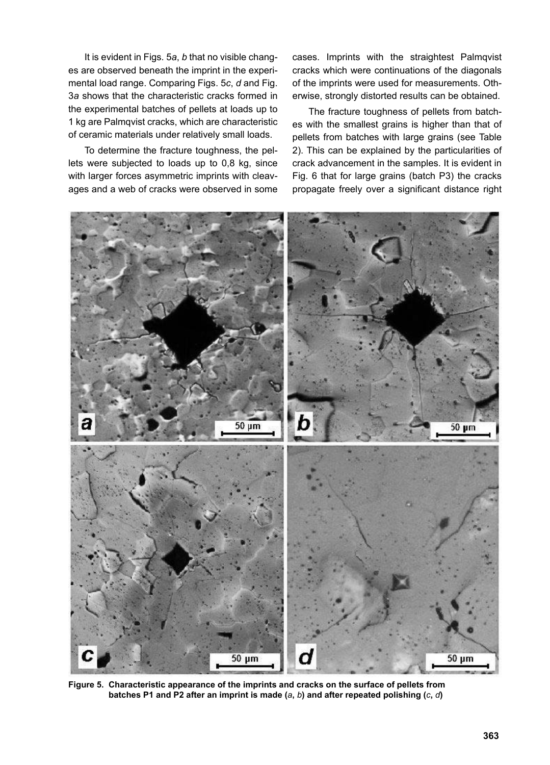It is evident in Figs. 5*a*, *b* that no visible changes are observed beneath the imprint in the experimental load range. Comparing Figs. 5*c*, *d* and Fig. 3*a* shows that the characteristic cracks formed in the experimental batches of pellets at loads up to 1 kg are Palmqvist cracks, which are characteristic of ceramic materials under relatively small loads.

To determine the fracture toughness, the pellets were subjected to loads up to 0,8 kg, since with larger forces asymmetric imprints with cleavages and a web of cracks were observed in some cases. Imprints with the straightest Palmqvist cracks which were continuations of the diagonals of the imprints were used for measurements. Otherwise, strongly distorted results can be obtained.

The fracture toughness of pellets from batches with the smallest grains is higher than that of pellets from batches with large grains (see Table 2). This can be explained by the particularities of crack advancement in the samples. It is evident in Fig. 6 that for large grains (batch P3) the cracks propagate freely over a significant distance right



**Figure 5. Characteristic appearance of the imprints and cracks on the surface of pellets from batches P1 and P2 after an imprint is made (***a***,** *b***) and after repeated polishing (***c***,** *d***)**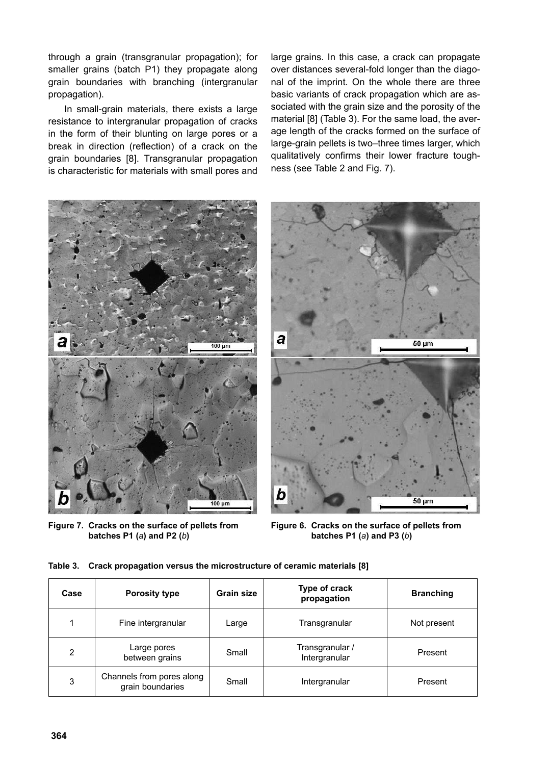through a grain (transgranular propagation); for smaller grains (batch P1) they propagate along grain boundaries with branching (intergranular propagation).

In small-grain materials, there exists a large resistance to intergranular propagation of cracks in the form of their blunting on large pores or a break in direction (reflection) of a crack on the grain boundaries [8]. Transgranular propagation is characteristic for materials with small pores and large grains. In this case, a crack can propagate over distances several-fold longer than the diagonal of the imprint. On the whole there are three basic variants of crack propagation which are associated with the grain size and the porosity of the material [8] (Table 3). For the same load, the average length of the cracks formed on the surface of large-grain pellets is two–three times larger, which qualitatively confirms their lower fracture toughness (see Table 2 and Fig. 7).



**Figure 7. Cracks on the surface of pellets from batches P1 (***a***) and P2 (***b***)**

**Figure 6. Cracks on the surface of pellets from batches P1 (***a***) and P3 (***b***)**

| Case | <b>Porosity type</b>                          | <b>Grain size</b> | Type of crack<br>propagation     | <b>Branching</b> |
|------|-----------------------------------------------|-------------------|----------------------------------|------------------|
|      | Fine intergranular                            | Large             | Transgranular                    | Not present      |
| 2    | Large pores<br>between grains                 | Small             | Transgranular /<br>Intergranular | Present          |
| 3    | Channels from pores along<br>grain boundaries | Small             | Intergranular                    | Present          |

**Table 3. Crack propagation versus the microstructure of ceramic materials [8]**